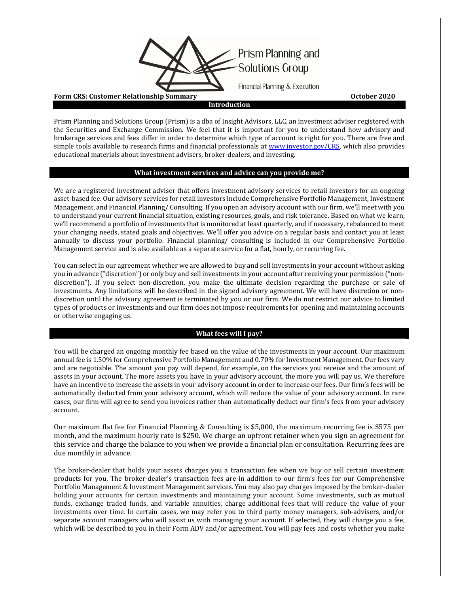

Prism Planning and Solutions Group (Prism) is a dba of Insight Advisors, LLC, an investment adviser registered with the Securities and Exchange Commission. We feel that it is important for you to understand how advisory and brokerage services and fees differ in order to determine which type of account is right for you. There are free and simple tools available to research firms and financial professionals at [www.investor.gov/CRS,](http://www.investor.gov/CRS) which also provides educational materials about investment advisers, broker-dealers, and investing.

## **What investment services and advice can you provide me?**

We are a registered investment adviser that offers investment advisory services to retail investors for an ongoing asset-based fee. Our advisory services for retail investors include Comprehensive Portfolio Management, Investment Management, and Financial Planning/ Consulting. If you open an advisory account with our firm, we'll meet with you to understand your current financial situation, existing resources, goals, and risk tolerance. Based on what we learn, we'll recommend a portfolio of investments that is monitored at least quarterly, and if necessary, rebalanced to meet your changing needs, stated goals and objectives. We'll offer you advice on a regular basis and contact you at least annually to discuss your portfolio. Financial planning/ consulting is included in our Comprehensive Portfolio Management service and is also available as a separate service for a flat, hourly, or recurring fee.

You can select in our agreement whether we are allowed to buy and sell investments in your account without asking you in advance ("discretion") or only buy and sell investments in your account after receiving your permission ("nondiscretion"). If you select non-discretion, you make the ultimate decision regarding the purchase or sale of investments. Any limitations will be described in the signed advisory agreement. We will have discretion or nondiscretion until the advisory agreement is terminated by you or our firm. We do not restrict our advice to limited types of products or investments and our firm does not impose requirements for opening and maintaining accounts or otherwise engaging us.

# **What fees will I pay?**

You will be charged an ongoing monthly fee based on the value of the investments in your account. Our maximum annual fee is 1.50% for Comprehensive Portfolio Management and 0.70% for Investment Management. Our fees vary and are negotiable. The amount you pay will depend, for example, on the services you receive and the amount of assets in your account. The more assets you have in your advisory account, the more you will pay us. We therefore have an incentive to increase the assets in your advisory account in order to increase our fees. Our firm's fees will be automatically deducted from your advisory account, which will reduce the value of your advisory account. In rare cases, our firm will agree to send you invoices rather than automatically deduct our firm's fees from your advisory account.

Our maximum flat fee for Financial Planning & Consulting is \$5,000, the maximum recurring fee is \$575 per month, and the maximum hourly rate is \$250. We charge an upfront retainer when you sign an agreement for this service and charge the balance to you when we provide a financial plan or consultation. Recurring fees are due monthly in advance.

The broker-dealer that holds your assets charges you a transaction fee when we buy or sell certain investment products for you. The broker-dealer's transaction fees are in addition to our firm's fees for our Comprehensive Portfolio Management & Investment Management services. You may also pay charges imposed by the broker-dealer holding your accounts for certain investments and maintaining your account. Some investments, such as mutual funds, exchange traded funds, and variable annuities, charge additional fees that will reduce the value of your investments over time. In certain cases, we may refer you to third party money managers, sub-advisers, and/or separate account managers who will assist us with managing your account. If selected, they will charge you a fee, which will be described to you in their Form ADV and/or agreement. You will pay fees and costs whether you make